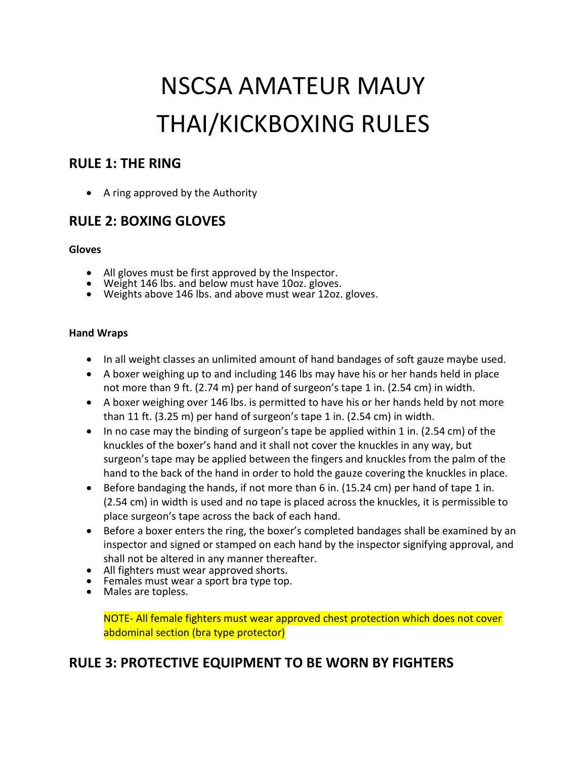# NSCSA AMATEUR MAUY THAI/KICKBOXING RULES

### **RULE 1: THE RING**

• A ring approved by the Authority

# **RULE 2: BOXING GLOVES**

#### **Gloves**

- All gloves must be first approved by the Inspector.
- Weight 146 lbs. and below must have 10oz. gloves.
- Weights above 146 lbs. and above must wear 12oz. gloves.

#### **Hand Wraps**

- In all weight classes an unlimited amount of hand bandages of soft gauze maybe used.
- A boxer weighing up to and including 146 lbs may have his or her hands held in place not more than 9 ft. (2.74 m) per hand of surgeon's tape 1 in. (2.54 cm) in width.
- A boxer weighing over 146 lbs. is permitted to have his or her hands held by not more than 11 ft. (3.25 m) per hand of surgeon's tape 1 in. (2.54 cm) in width.
- $\bullet$  In no case may the binding of surgeon's tape be applied within 1 in. (2.54 cm) of the knuckles of the boxer's hand and it shall not cover the knuckles in any way, but surgeon's tape may be applied between the fingers and knuckles from the palm of the hand to the back of the hand in order to hold the gauze covering the knuckles in place.
- **Before bandaging the hands, if not more than 6 in. (15.24 cm) per hand of tape 1 in.** (2.54 cm) in width is used and no tape is placed across the knuckles, it is permissible to place surgeon's tape across the back of each hand.
- Before a boxer enters the ring, the boxer's completed bandages shall be examined by an inspector and signed or stamped on each hand by the inspector signifying approval, and shall not be altered in any manner thereafter.
- All fighters must wear approved shorts.
- Females must wear a sport bra type top.
- Males are topless.

NOTE- All female fighters must wear approved chest protection which does not cover abdominal section (bra type protector)

# **RULE 3: PROTECTIVE EQUIPMENT TO BE WORN BY FIGHTERS**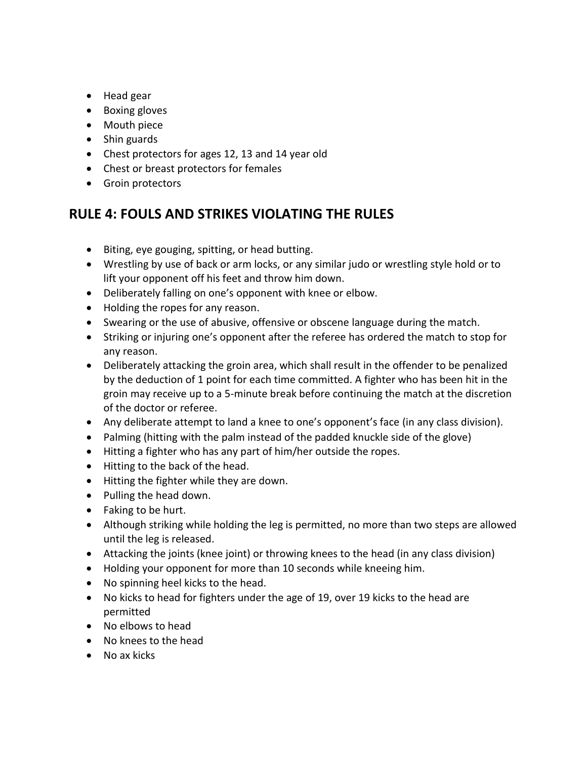- Head gear
- Boxing gloves
- Mouth piece
- Shin guards
- Chest protectors for ages 12, 13 and 14 year old
- Chest or breast protectors for females
- **•** Groin protectors

# **RULE 4: FOULS AND STRIKES VIOLATING THE RULES**

- Biting, eye gouging, spitting, or head butting.
- Wrestling by use of back or arm locks, or any similar judo or wrestling style hold or to lift your opponent off his feet and throw him down.
- Deliberately falling on one's opponent with knee or elbow.
- Holding the ropes for any reason.
- Swearing or the use of abusive, offensive or obscene language during the match.
- Striking or injuring one's opponent after the referee has ordered the match to stop for any reason.
- Deliberately attacking the groin area, which shall result in the offender to be penalized by the deduction of 1 point for each time committed. A fighter who has been hit in the groin may receive up to a 5-minute break before continuing the match at the discretion of the doctor or referee.
- Any deliberate attempt to land a knee to one's opponent's face (in any class division).
- Palming (hitting with the palm instead of the padded knuckle side of the glove)
- Hitting a fighter who has any part of him/her outside the ropes.
- Hitting to the back of the head.
- Hitting the fighter while they are down.
- Pulling the head down.
- Faking to be hurt.
- Although striking while holding the leg is permitted, no more than two steps are allowed until the leg is released.
- Attacking the joints (knee joint) or throwing knees to the head (in any class division)
- Holding your opponent for more than 10 seconds while kneeing him.
- No spinning heel kicks to the head.
- No kicks to head for fighters under the age of 19, over 19 kicks to the head are permitted
- No elbows to head
- No knees to the head
- No ax kicks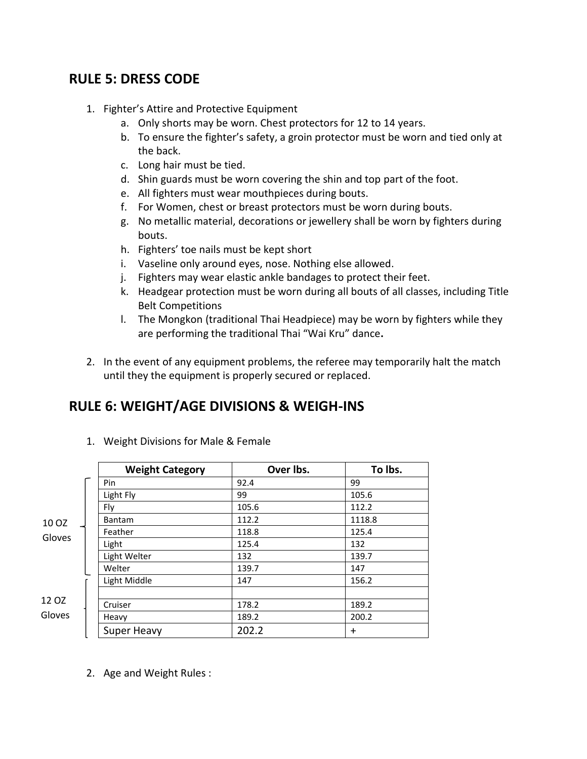## **RULE 5: DRESS CODE**

- 1. Fighter's Attire and Protective Equipment
	- a. Only shorts may be worn. Chest protectors for 12 to 14 years.
	- b. To ensure the fighter's safety, a groin protector must be worn and tied only at the back.
	- c. Long hair must be tied.
	- d. Shin guards must be worn covering the shin and top part of the foot.
	- e. All fighters must wear mouthpieces during bouts.
	- f. For Women, chest or breast protectors must be worn during bouts.
	- g. No metallic material, decorations or jewellery shall be worn by fighters during bouts.
	- h. Fighters' toe nails must be kept short
	- i. Vaseline only around eyes, nose. Nothing else allowed.
	- j. Fighters may wear elastic ankle bandages to protect their feet.
	- k. Headgear protection must be worn during all bouts of all classes, including Title Belt Competitions
	- l. The Mongkon (traditional Thai Headpiece) may be worn by fighters while they are performing the traditional Thai "Wai Kru" dance**.**
- 2. In the event of any equipment problems, the referee may temporarily halt the match until they the equipment is properly secured or replaced.

# **RULE 6: WEIGHT/AGE DIVISIONS & WEIGH-INS**

|                 | <b>Weight Category</b> | Over lbs. | To Ibs.    |
|-----------------|------------------------|-----------|------------|
| 10 OZ<br>Gloves | Pin                    | 92.4      | 99         |
|                 | Light Fly              | 99        | 105.6      |
|                 | Fly                    | 105.6     | 112.2      |
|                 | <b>Bantam</b>          | 112.2     | 1118.8     |
|                 | Feather                | 118.8     | 125.4      |
|                 | Light                  | 125.4     | 132        |
|                 | Light Welter           | 132       | 139.7      |
|                 | Welter                 | 139.7     | 147        |
|                 | Light Middle           | 147       | 156.2      |
|                 |                        |           |            |
| 12 OZ<br>Gloves | Cruiser                | 178.2     | 189.2      |
|                 | Heavy                  | 189.2     | 200.2      |
|                 | <b>Super Heavy</b>     | 202.2     | $\ddagger$ |

1. Weight Divisions for Male & Female

2. Age and Weight Rules :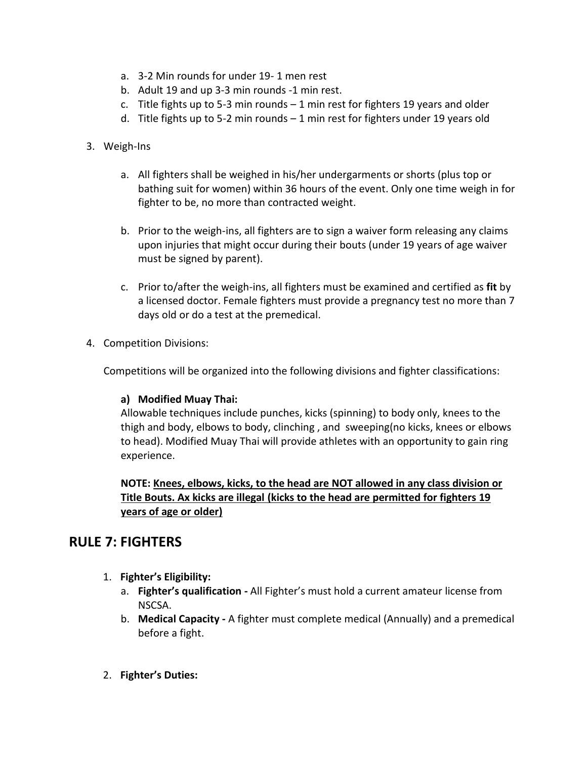- a. 3-2 Min rounds for under 19- 1 men rest
- b. Adult 19 and up 3-3 min rounds -1 min rest.
- c. Title fights up to 5-3 min rounds  $-1$  min rest for fighters 19 years and older
- d. Title fights up to 5-2 min rounds 1 min rest for fighters under 19 years old
- 3. Weigh-Ins
	- a. All fighters shall be weighed in his/her undergarments or shorts (plus top or bathing suit for women) within 36 hours of the event. Only one time weigh in for fighter to be, no more than contracted weight.
	- b. Prior to the weigh-ins, all fighters are to sign a waiver form releasing any claims upon injuries that might occur during their bouts (under 19 years of age waiver must be signed by parent).
	- c. Prior to/after the weigh-ins, all fighters must be examined and certified as **fit** by a licensed doctor. Female fighters must provide a pregnancy test no more than 7 days old or do a test at the premedical.
- 4. Competition Divisions:

Competitions will be organized into the following divisions and fighter classifications:

#### **a) Modified Muay Thai:**

Allowable techniques include punches, kicks (spinning) to body only, knees to the thigh and body, elbows to body, clinching , and sweeping(no kicks, knees or elbows to head). Modified Muay Thai will provide athletes with an opportunity to gain ring experience.

**NOTE: Knees, elbows, kicks, to the head are NOT allowed in any class division or Title Bouts. Ax kicks are illegal (kicks to the head are permitted for fighters 19 years of age or older)** 

## **RULE 7: FIGHTERS**

- 1. **Fighter's Eligibility:**
	- a. **Fighter's qualification -** All Fighter's must hold a current amateur license from NSCSA.
	- b. **Medical Capacity -** A fighter must complete medical (Annually) and a premedical before a fight.
- 2. **Fighter's Duties:**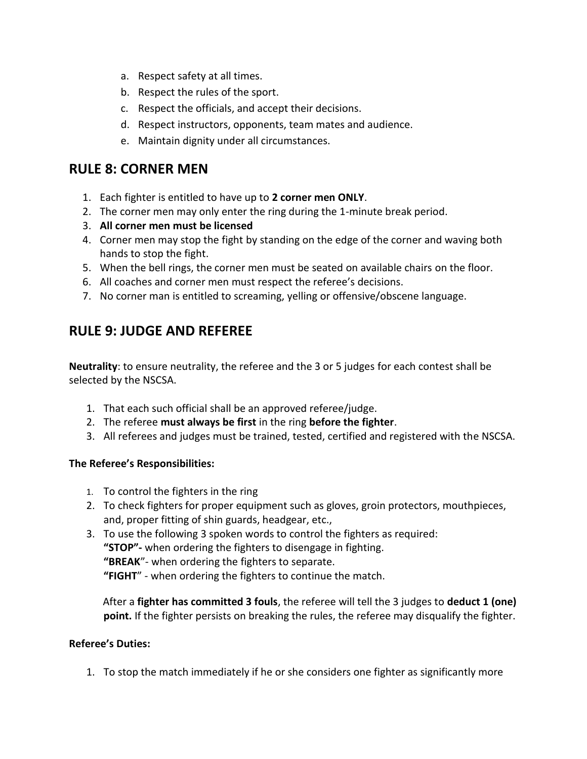- a. Respect safety at all times.
- b. Respect the rules of the sport.
- c. Respect the officials, and accept their decisions.
- d. Respect instructors, opponents, team mates and audience.
- e. Maintain dignity under all circumstances.

## **RULE 8: CORNER MEN**

- 1. Each fighter is entitled to have up to **2 corner men ONLY**.
- 2. The corner men may only enter the ring during the 1-minute break period.
- 3. **All corner men must be licensed**
- 4. Corner men may stop the fight by standing on the edge of the corner and waving both hands to stop the fight.
- 5. When the bell rings, the corner men must be seated on available chairs on the floor.
- 6. All coaches and corner men must respect the referee's decisions.
- 7. No corner man is entitled to screaming, yelling or offensive/obscene language.

# **RULE 9: JUDGE AND REFEREE**

**Neutrality**: to ensure neutrality, the referee and the 3 or 5 judges for each contest shall be selected by the NSCSA.

- 1. That each such official shall be an approved referee/judge.
- 2. The referee **must always be first** in the ring **before the fighter**.
- 3. All referees and judges must be trained, tested, certified and registered with the NSCSA.

#### **The Referee's Responsibilities:**

- 1. To control the fighters in the ring
- 2. To check fighters for proper equipment such as gloves, groin protectors, mouthpieces, and, proper fitting of shin guards, headgear, etc.,
- 3. To use the following 3 spoken words to control the fighters as required: **"STOP"-** when ordering the fighters to disengage in fighting. **"BREAK**"- when ordering the fighters to separate. **"FIGHT**" - when ordering the fighters to continue the match.

 After a **fighter has committed 3 fouls**, the referee will tell the 3 judges to **deduct 1 (one) point.** If the fighter persists on breaking the rules, the referee may disqualify the fighter.

#### **Referee's Duties:**

1. To stop the match immediately if he or she considers one fighter as significantly more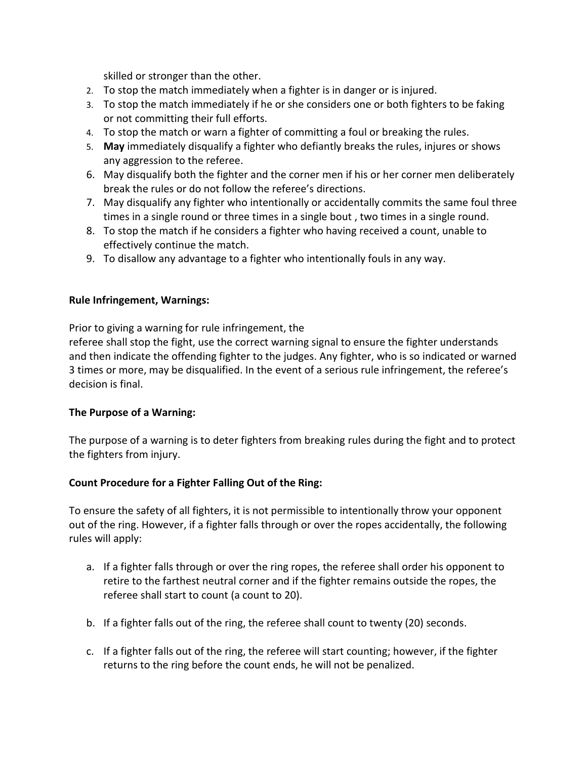skilled or stronger than the other.

- 2. To stop the match immediately when a fighter is in danger or is injured.
- 3. To stop the match immediately if he or she considers one or both fighters to be faking or not committing their full efforts.
- 4. To stop the match or warn a fighter of committing a foul or breaking the rules.
- 5. **May** immediately disqualify a fighter who defiantly breaks the rules, injures or shows any aggression to the referee.
- 6. May disqualify both the fighter and the corner men if his or her corner men deliberately break the rules or do not follow the referee's directions.
- 7. May disqualify any fighter who intentionally or accidentally commits the same foul three times in a single round or three times in a single bout , two times in a single round.
- 8. To stop the match if he considers a fighter who having received a count, unable to effectively continue the match.
- 9. To disallow any advantage to a fighter who intentionally fouls in any way.

#### **Rule Infringement, Warnings:**

Prior to giving a warning for rule infringement, the

referee shall stop the fight, use the correct warning signal to ensure the fighter understands and then indicate the offending fighter to the judges. Any fighter, who is so indicated or warned 3 times or more, may be disqualified. In the event of a serious rule infringement, the referee's decision is final.

#### **The Purpose of a Warning:**

The purpose of a warning is to deter fighters from breaking rules during the fight and to protect the fighters from injury.

#### **Count Procedure for a Fighter Falling Out of the Ring:**

To ensure the safety of all fighters, it is not permissible to intentionally throw your opponent out of the ring. However, if a fighter falls through or over the ropes accidentally, the following rules will apply:

- a. If a fighter falls through or over the ring ropes, the referee shall order his opponent to retire to the farthest neutral corner and if the fighter remains outside the ropes, the referee shall start to count (a count to 20).
- b. If a fighter falls out of the ring, the referee shall count to twenty (20) seconds.
- c. If a fighter falls out of the ring, the referee will start counting; however, if the fighter returns to the ring before the count ends, he will not be penalized.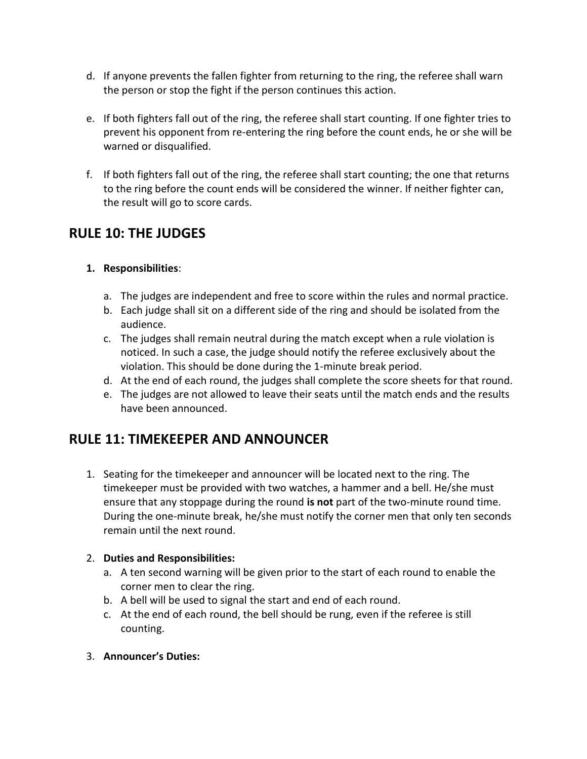- d. If anyone prevents the fallen fighter from returning to the ring, the referee shall warn the person or stop the fight if the person continues this action.
- e. If both fighters fall out of the ring, the referee shall start counting. If one fighter tries to prevent his opponent from re-entering the ring before the count ends, he or she will be warned or disqualified.
- f. If both fighters fall out of the ring, the referee shall start counting; the one that returns to the ring before the count ends will be considered the winner. If neither fighter can, the result will go to score cards.

# **RULE 10: THE JUDGES**

#### **1. Responsibilities**:

- a. The judges are independent and free to score within the rules and normal practice.
- b. Each judge shall sit on a different side of the ring and should be isolated from the audience.
- c. The judges shall remain neutral during the match except when a rule violation is noticed. In such a case, the judge should notify the referee exclusively about the violation. This should be done during the 1-minute break period.
- d. At the end of each round, the judges shall complete the score sheets for that round.
- e. The judges are not allowed to leave their seats until the match ends and the results have been announced.

# **RULE 11: TIMEKEEPER AND ANNOUNCER**

1. Seating for the timekeeper and announcer will be located next to the ring. The timekeeper must be provided with two watches, a hammer and a bell. He/she must ensure that any stoppage during the round **is not** part of the two-minute round time. During the one-minute break, he/she must notify the corner men that only ten seconds remain until the next round.

#### 2. **Duties and Responsibilities:**

- a. A ten second warning will be given prior to the start of each round to enable the corner men to clear the ring.
- b. A bell will be used to signal the start and end of each round.
- c. At the end of each round, the bell should be rung, even if the referee is still counting.
- 3. **Announcer's Duties:**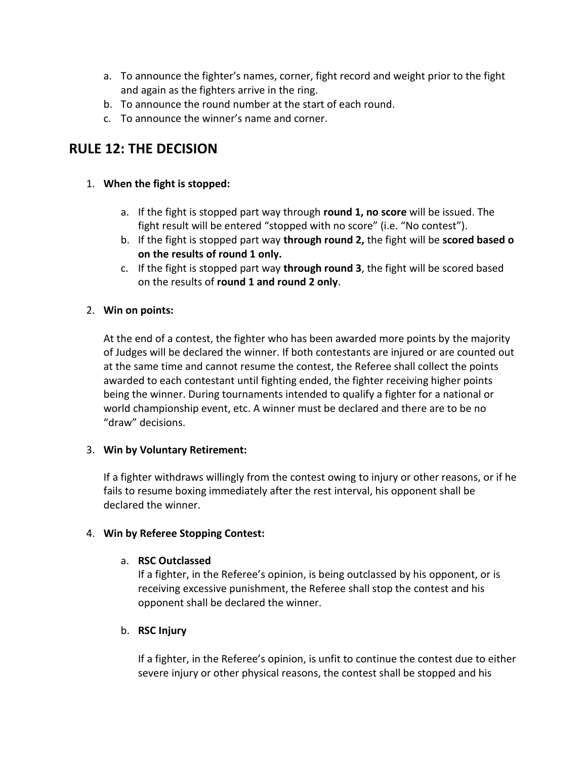- a. To announce the fighter's names, corner, fight record and weight prior to the fight and again as the fighters arrive in the ring.
- b. To announce the round number at the start of each round.
- c. To announce the winner's name and corner.

## **RULE 12: THE DECISION**

#### 1. **When the fight is stopped:**

- a. If the fight is stopped part way through **round 1, no score** will be issued. The fight result will be entered "stopped with no score" (i.e. "No contest").
- b. If the fight is stopped part way **through round 2,** the fight will be **scored based o on the results of round 1 only.**
- c. If the fight is stopped part way **through round 3**, the fight will be scored based on the results of **round 1 and round 2 only**.

#### 2. **Win on points:**

At the end of a contest, the fighter who has been awarded more points by the majority of Judges will be declared the winner. If both contestants are injured or are counted out at the same time and cannot resume the contest, the Referee shall collect the points awarded to each contestant until fighting ended, the fighter receiving higher points being the winner. During tournaments intended to qualify a fighter for a national or world championship event, etc. A winner must be declared and there are to be no "draw" decisions.

#### 3. **Win by Voluntary Retirement:**

If a fighter withdraws willingly from the contest owing to injury or other reasons, or if he fails to resume boxing immediately after the rest interval, his opponent shall be declared the winner.

#### 4. **Win by Referee Stopping Contest:**

#### a. **RSC Outclassed**

If a fighter, in the Referee's opinion, is being outclassed by his opponent, or is receiving excessive punishment, the Referee shall stop the contest and his opponent shall be declared the winner.

#### b. **RSC Injury**

If a fighter, in the Referee's opinion, is unfit to continue the contest due to either severe injury or other physical reasons, the contest shall be stopped and his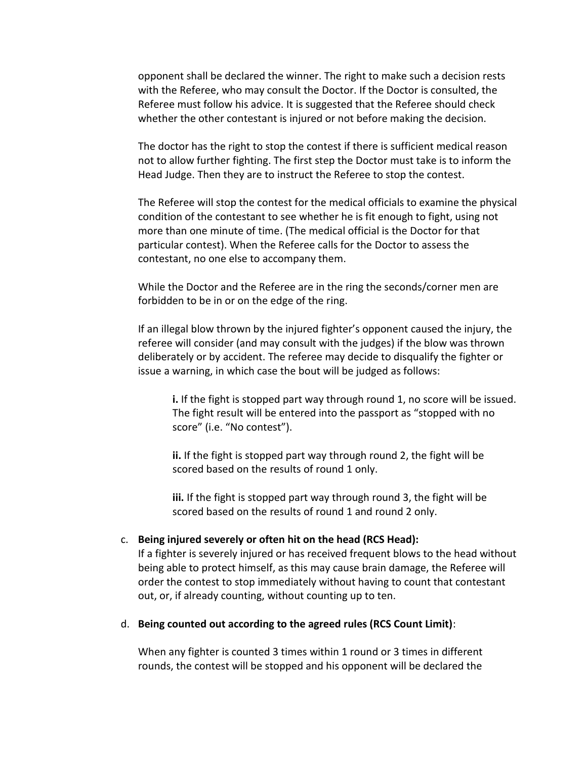opponent shall be declared the winner. The right to make such a decision rests with the Referee, who may consult the Doctor. If the Doctor is consulted, the Referee must follow his advice. It is suggested that the Referee should check whether the other contestant is injured or not before making the decision.

The doctor has the right to stop the contest if there is sufficient medical reason not to allow further fighting. The first step the Doctor must take is to inform the Head Judge. Then they are to instruct the Referee to stop the contest.

The Referee will stop the contest for the medical officials to examine the physical condition of the contestant to see whether he is fit enough to fight, using not more than one minute of time. (The medical official is the Doctor for that particular contest). When the Referee calls for the Doctor to assess the contestant, no one else to accompany them.

While the Doctor and the Referee are in the ring the seconds/corner men are forbidden to be in or on the edge of the ring.

If an illegal blow thrown by the injured fighter's opponent caused the injury, the referee will consider (and may consult with the judges) if the blow was thrown deliberately or by accident. The referee may decide to disqualify the fighter or issue a warning, in which case the bout will be judged as follows:

**i.** If the fight is stopped part way through round 1, no score will be issued. The fight result will be entered into the passport as "stopped with no score" (i.e. "No contest").

**ii.** If the fight is stopped part way through round 2, the fight will be scored based on the results of round 1 only.

**iii.** If the fight is stopped part way through round 3, the fight will be scored based on the results of round 1 and round 2 only.

#### c. **Being injured severely or often hit on the head (RCS Head):**

If a fighter is severely injured or has received frequent blows to the head without being able to protect himself, as this may cause brain damage, the Referee will order the contest to stop immediately without having to count that contestant out, or, if already counting, without counting up to ten.

#### d. **Being counted out according to the agreed rules (RCS Count Limit)**:

When any fighter is counted 3 times within 1 round or 3 times in different rounds, the contest will be stopped and his opponent will be declared the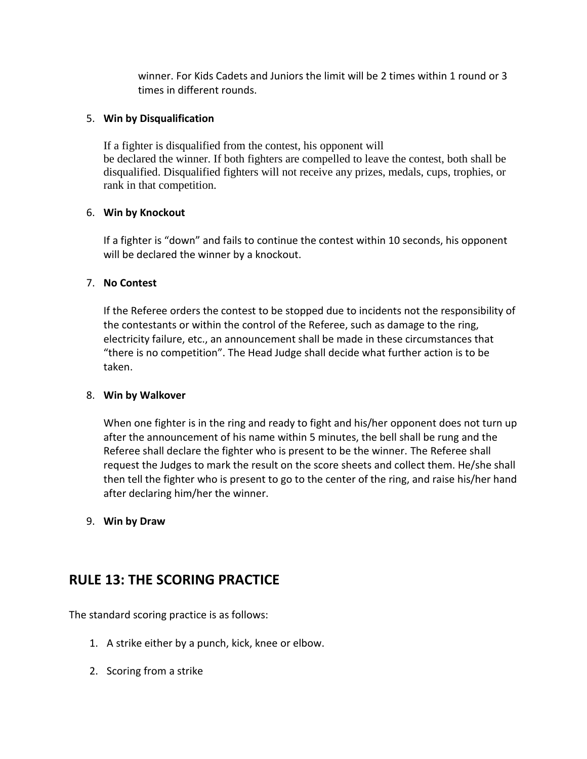winner. For Kids Cadets and Juniors the limit will be 2 times within 1 round or 3 times in different rounds.

#### 5. **Win by Disqualification**

If a fighter is disqualified from the contest, his opponent will be declared the winner. If both fighters are compelled to leave the contest, both shall be disqualified. Disqualified fighters will not receive any prizes, medals, cups, trophies, or rank in that competition.

#### 6. **Win by Knockout**

If a fighter is "down" and fails to continue the contest within 10 seconds, his opponent will be declared the winner by a knockout.

#### 7. **No Contest**

If the Referee orders the contest to be stopped due to incidents not the responsibility of the contestants or within the control of the Referee, such as damage to the ring, electricity failure, etc., an announcement shall be made in these circumstances that "there is no competition". The Head Judge shall decide what further action is to be taken.

#### 8. **Win by Walkover**

When one fighter is in the ring and ready to fight and his/her opponent does not turn up after the announcement of his name within 5 minutes, the bell shall be rung and the Referee shall declare the fighter who is present to be the winner. The Referee shall request the Judges to mark the result on the score sheets and collect them. He/she shall then tell the fighter who is present to go to the center of the ring, and raise his/her hand after declaring him/her the winner.

#### 9. **Win by Draw**

## **RULE 13: THE SCORING PRACTICE**

The standard scoring practice is as follows:

- 1. A strike either by a punch, kick, knee or elbow.
- 2. Scoring from a strike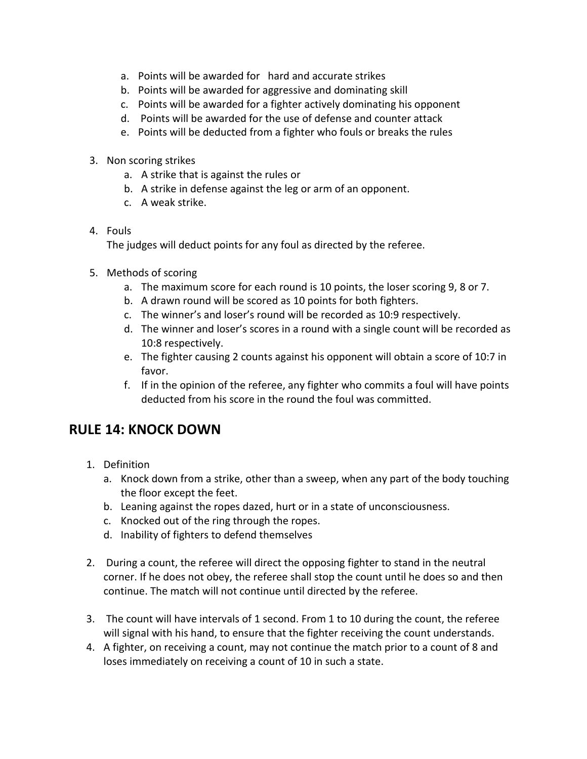- a. Points will be awarded for hard and accurate strikes
- b. Points will be awarded for aggressive and dominating skill
- c. Points will be awarded for a fighter actively dominating his opponent
- d. Points will be awarded for the use of defense and counter attack
- e. Points will be deducted from a fighter who fouls or breaks the rules
- 3. Non scoring strikes
	- a. A strike that is against the rules or
	- b. A strike in defense against the leg or arm of an opponent.
	- c. A weak strike.
- 4. Fouls

The judges will deduct points for any foul as directed by the referee.

- 5. Methods of scoring
	- a. The maximum score for each round is 10 points, the loser scoring 9, 8 or 7.
	- b. A drawn round will be scored as 10 points for both fighters.
	- c. The winner's and loser's round will be recorded as 10:9 respectively.
	- d. The winner and loser's scores in a round with a single count will be recorded as 10:8 respectively.
	- e. The fighter causing 2 counts against his opponent will obtain a score of 10:7 in favor.
	- f. If in the opinion of the referee, any fighter who commits a foul will have points deducted from his score in the round the foul was committed.

# **RULE 14: KNOCK DOWN**

- 1. Definition
	- a. Knock down from a strike, other than a sweep, when any part of the body touching the floor except the feet.
	- b. Leaning against the ropes dazed, hurt or in a state of unconsciousness.
	- c. Knocked out of the ring through the ropes.
	- d. Inability of fighters to defend themselves
- 2. During a count, the referee will direct the opposing fighter to stand in the neutral corner. If he does not obey, the referee shall stop the count until he does so and then continue. The match will not continue until directed by the referee.
- 3. The count will have intervals of 1 second. From 1 to 10 during the count, the referee will signal with his hand, to ensure that the fighter receiving the count understands.
- 4. A fighter, on receiving a count, may not continue the match prior to a count of 8 and loses immediately on receiving a count of 10 in such a state.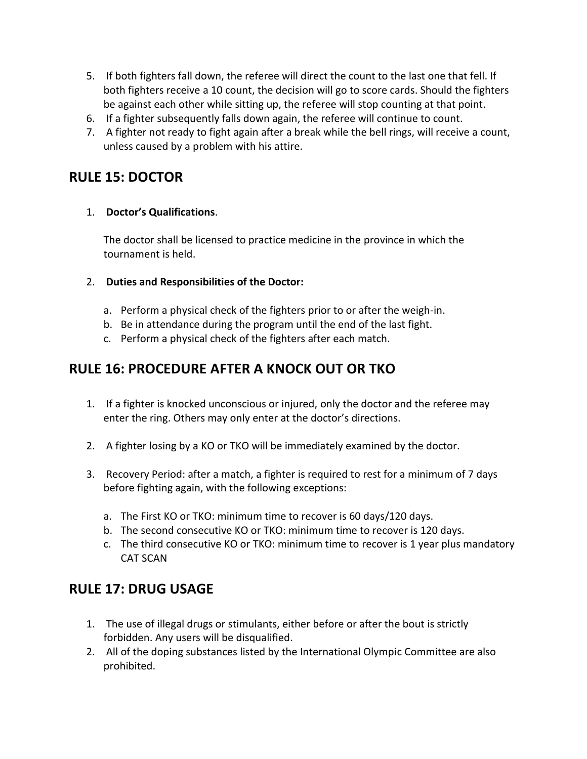- 5. If both fighters fall down, the referee will direct the count to the last one that fell. If both fighters receive a 10 count, the decision will go to score cards. Should the fighters be against each other while sitting up, the referee will stop counting at that point.
- 6. If a fighter subsequently falls down again, the referee will continue to count.
- 7. A fighter not ready to fight again after a break while the bell rings, will receive a count, unless caused by a problem with his attire.

# **RULE 15: DOCTOR**

#### 1. **Doctor's Qualifications**.

The doctor shall be licensed to practice medicine in the province in which the tournament is held.

#### 2. **Duties and Responsibilities of the Doctor:**

- a. Perform a physical check of the fighters prior to or after the weigh-in.
- b. Be in attendance during the program until the end of the last fight.
- c. Perform a physical check of the fighters after each match.

# **RULE 16: PROCEDURE AFTER A KNOCK OUT OR TKO**

- 1. If a fighter is knocked unconscious or injured, only the doctor and the referee may enter the ring. Others may only enter at the doctor's directions.
- 2. A fighter losing by a KO or TKO will be immediately examined by the doctor.
- 3. Recovery Period: after a match, a fighter is required to rest for a minimum of 7 days before fighting again, with the following exceptions:
	- a. The First KO or TKO: minimum time to recover is 60 days/120 days.
	- b. The second consecutive KO or TKO: minimum time to recover is 120 days.
	- c. The third consecutive KO or TKO: minimum time to recover is 1 year plus mandatory CAT SCAN

# **RULE 17: DRUG USAGE**

- 1. The use of illegal drugs or stimulants, either before or after the bout is strictly forbidden. Any users will be disqualified.
- 2. All of the doping substances listed by the International Olympic Committee are also prohibited.